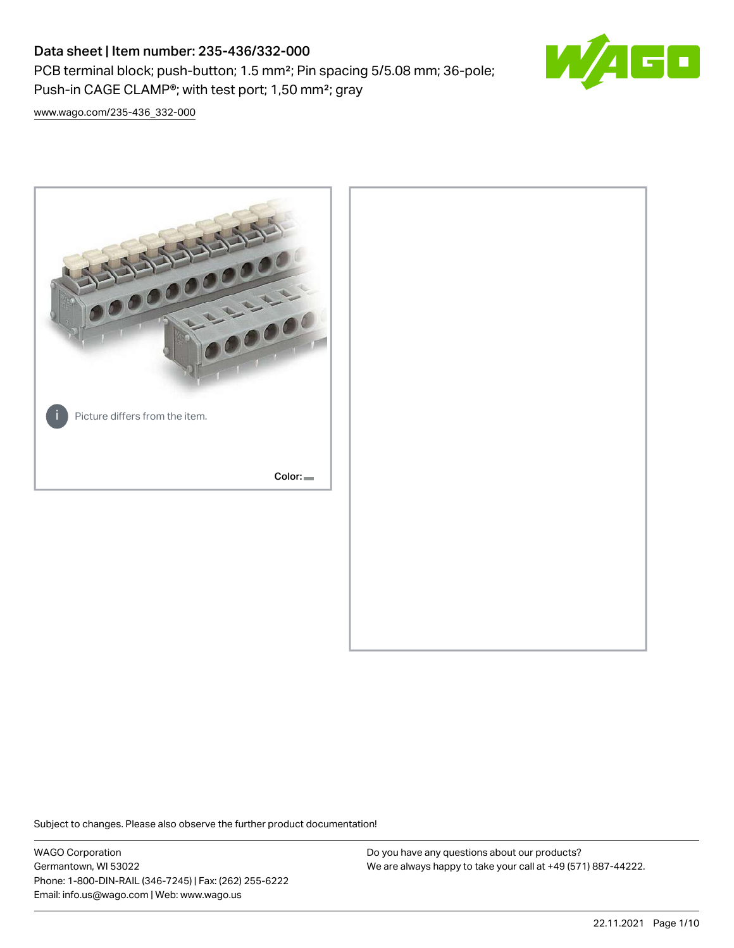PCB terminal block; push-button; 1.5 mm²; Pin spacing 5/5.08 mm; 36-pole; Push-in CAGE CLAMP®; with test port; 1,50 mm²; gray



[www.wago.com/235-436\\_332-000](http://www.wago.com/235-436_332-000)



Subject to changes. Please also observe the further product documentation!

WAGO Corporation Germantown, WI 53022 Phone: 1-800-DIN-RAIL (346-7245) | Fax: (262) 255-6222 Email: info.us@wago.com | Web: www.wago.us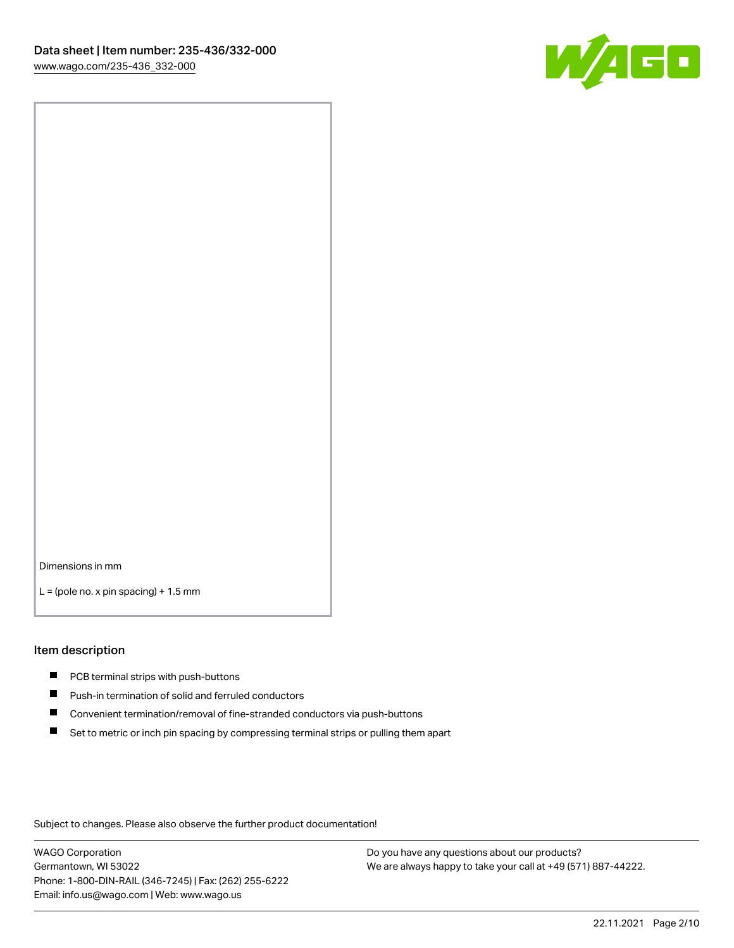

Dimensions in mm

 $L =$  (pole no. x pin spacing) + 1.5 mm

#### Item description

- **PCB terminal strips with push-buttons**
- **Push-in termination of solid and ferruled conductors**
- $\blacksquare$ Convenient termination/removal of fine-stranded conductors via push-buttons
- Set to metric or inch pin spacing by compressing terminal strips or pulling them apart

Subject to changes. Please also observe the further product documentation!

WAGO Corporation Germantown, WI 53022 Phone: 1-800-DIN-RAIL (346-7245) | Fax: (262) 255-6222 Email: info.us@wago.com | Web: www.wago.us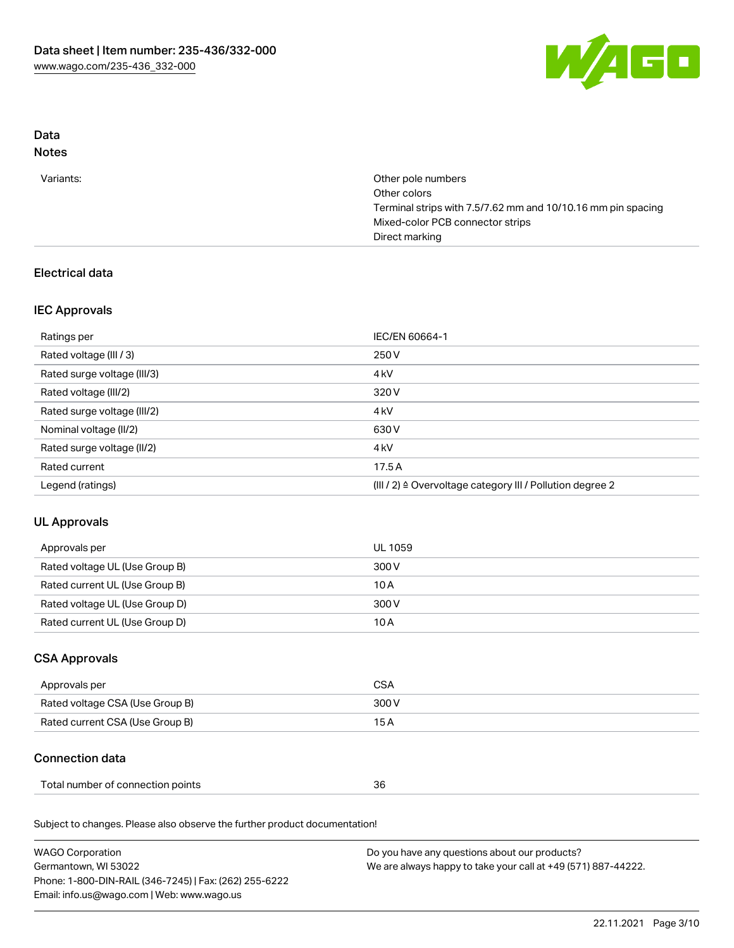

# Data

# Notes

| Other pole numbers                                           |
|--------------------------------------------------------------|
| Other colors                                                 |
| Terminal strips with 7.5/7.62 mm and 10/10.16 mm pin spacing |
| Mixed-color PCB connector strips                             |
| Direct marking                                               |
|                                                              |

# Electrical data

### IEC Approvals

| Ratings per                 | IEC/EN 60664-1                                            |
|-----------------------------|-----------------------------------------------------------|
| Rated voltage (III / 3)     | 250 V                                                     |
| Rated surge voltage (III/3) | 4 <sub>k</sub> V                                          |
| Rated voltage (III/2)       | 320 V                                                     |
| Rated surge voltage (III/2) | 4 <sub>k</sub> V                                          |
| Nominal voltage (II/2)      | 630 V                                                     |
| Rated surge voltage (II/2)  | 4 <sub>k</sub> V                                          |
| Rated current               | 17.5A                                                     |
| Legend (ratings)            | (III / 2) ≙ Overvoltage category III / Pollution degree 2 |

# UL Approvals

| Approvals per                  | UL 1059 |
|--------------------------------|---------|
| Rated voltage UL (Use Group B) | 300 V   |
| Rated current UL (Use Group B) | 10 A    |
| Rated voltage UL (Use Group D) | 300 V   |
| Rated current UL (Use Group D) | 10 A    |

# CSA Approvals

| Approvals per                   | CSA   |
|---------------------------------|-------|
| Rated voltage CSA (Use Group B) | 300 V |
| Rated current CSA (Use Group B) | 15 A  |

# Connection data

| Total number of connection points<br>,我们就是一个人的事情。""我们的人,我们就是我们的人,我们就是我们的人,我们就是我们的人,我们就是我们的人,我们就是我们的人,我们就是我们的人,我们就是我们 | 36 |  |
|----------------------------------------------------------------------------------------------------------------------|----|--|
|----------------------------------------------------------------------------------------------------------------------|----|--|

Subject to changes. Please also observe the further product documentation!

| <b>WAGO Corporation</b>                                | Do you have any questions about our products?                 |
|--------------------------------------------------------|---------------------------------------------------------------|
| Germantown, WI 53022                                   | We are always happy to take your call at +49 (571) 887-44222. |
| Phone: 1-800-DIN-RAIL (346-7245)   Fax: (262) 255-6222 |                                                               |
| Email: info.us@wago.com   Web: www.wago.us             |                                                               |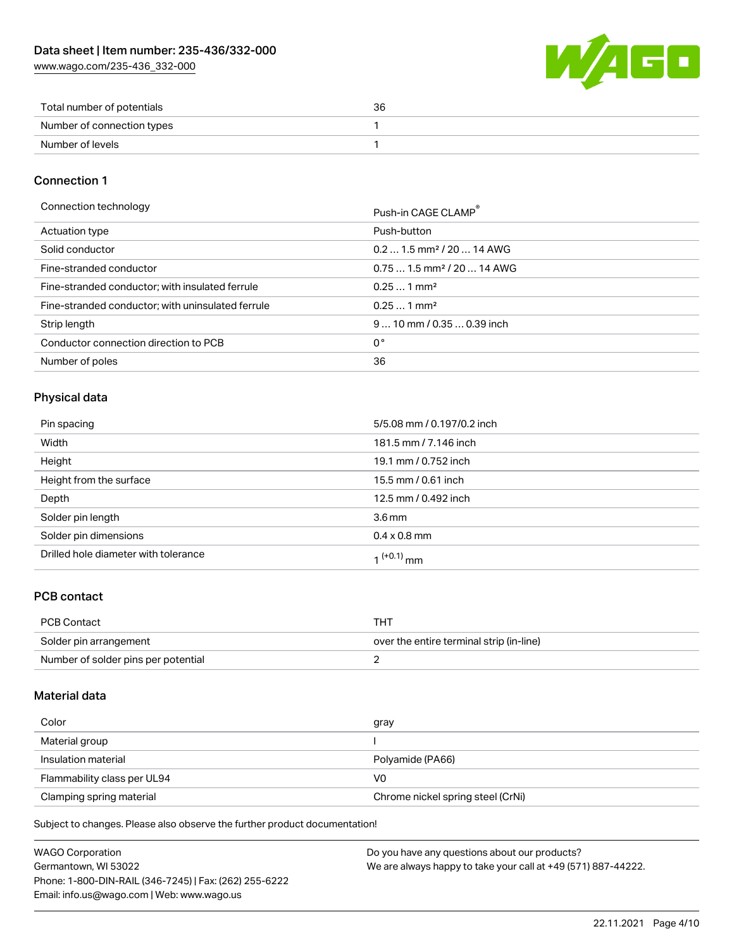[www.wago.com/235-436\\_332-000](http://www.wago.com/235-436_332-000)



| Total number of potentials | 36 |
|----------------------------|----|
| Number of connection types |    |
| Number of levels           |    |

### Connection 1

Connection technology **Push-in CAGE CLAMP<sup>®</sup>** 

|                                                   | PUSN-IN CAGE CLAMP                     |
|---------------------------------------------------|----------------------------------------|
| Actuation type                                    | Push-button                            |
| Solid conductor                                   | $0.21.5$ mm <sup>2</sup> / 20  14 AWG  |
| Fine-stranded conductor                           | $0.751.5$ mm <sup>2</sup> / 20  14 AWG |
| Fine-stranded conductor; with insulated ferrule   | $0.251$ mm <sup>2</sup>                |
| Fine-stranded conductor; with uninsulated ferrule | $0.251$ mm <sup>2</sup>                |
| Strip length                                      | $910$ mm / 0.35  0.39 inch             |
| Conductor connection direction to PCB             | 0°                                     |
| Number of poles                                   | 36                                     |

### Physical data

| Pin spacing                          | 5/5.08 mm / 0.197/0.2 inch |
|--------------------------------------|----------------------------|
| Width                                | 181.5 mm / 7.146 inch      |
| Height                               | 19.1 mm / 0.752 inch       |
| Height from the surface              | 15.5 mm / 0.61 inch        |
| Depth                                | 12.5 mm / 0.492 inch       |
| Solder pin length                    | 3.6 <sub>mm</sub>          |
| Solder pin dimensions                | $0.4 \times 0.8$ mm        |
| Drilled hole diameter with tolerance | 1 <sup>(+0.1)</sup> mm     |

### PCB contact

| PCB Contact                         | THT                                      |
|-------------------------------------|------------------------------------------|
| Solder pin arrangement              | over the entire terminal strip (in-line) |
| Number of solder pins per potential |                                          |

### Material data

| Color                       | gray                              |
|-----------------------------|-----------------------------------|
| Material group              |                                   |
| Insulation material         | Polyamide (PA66)                  |
| Flammability class per UL94 | V0                                |
| Clamping spring material    | Chrome nickel spring steel (CrNi) |

Subject to changes. Please also observe the further product documentation!

| <b>WAGO Corporation</b>                                | Do you have any questions about our products?                 |
|--------------------------------------------------------|---------------------------------------------------------------|
| Germantown, WI 53022                                   | We are always happy to take your call at +49 (571) 887-44222. |
| Phone: 1-800-DIN-RAIL (346-7245)   Fax: (262) 255-6222 |                                                               |
| Email: info.us@wago.com   Web: www.wago.us             |                                                               |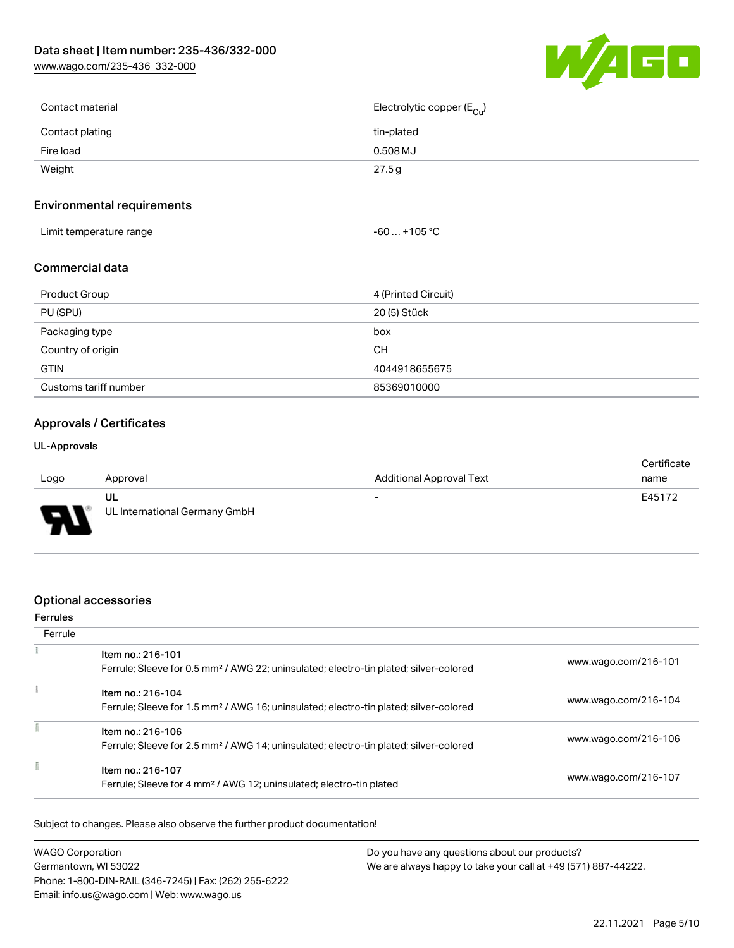[www.wago.com/235-436\\_332-000](http://www.wago.com/235-436_332-000)



| Contact material | Electrolytic copper (E <sub>Cu</sub> ) |
|------------------|----------------------------------------|
| Contact plating  | tin-plated                             |
| Fire load        | 0.508 MJ                               |
| Weight           | 27.5 g                                 |
|                  |                                        |

### Environmental requirements

| $\ldots$ +105 °C $\,$<br>Limit temperature range<br>-60 |  |
|---------------------------------------------------------|--|
|---------------------------------------------------------|--|

#### Commercial data

| Product Group         | 4 (Printed Circuit) |
|-----------------------|---------------------|
| PU (SPU)              | 20 (5) Stück        |
| Packaging type        | box                 |
| Country of origin     | CН                  |
| <b>GTIN</b>           | 4044918655675       |
| Customs tariff number | 85369010000         |

### Approvals / Certificates

#### UL-Approvals

|      |                               |                                 | Certificate |
|------|-------------------------------|---------------------------------|-------------|
| Logo | Approval                      | <b>Additional Approval Text</b> | name        |
|      | UL                            | $\overline{\phantom{a}}$        | E45172      |
| D    | UL International Germany GmbH |                                 |             |

### Optional accessories

#### Ferrules **Ferrule**  $\tilde{\chi}$ Item no.: 216-101 Ferrule; Sleeve for 0.5 mm² / AWG 22; uninsulated; electro-tin plated; silver-colored [www.wago.com/216-101](http://www.wago.com/216-101)  $\frac{1}{2}$ Item no.: 216-104 Ferrule; Sleeve for 1.5 mm² / AWG 16; uninsulated; electro-tin plated; silver-colored [www.wago.com/216-104](http://www.wago.com/216-104) ī Item no.: 216-106<br>Ferrule: Sleeve for 2.5 Ferrule; Sleeve for 2.5 mm² / AWG 14; uninsulated; electro-tin plated; silver-colored [www.wago.com/216-106](http://www.wago.com/216-106)

| Ferrule; Sleeve for 2.5 mm <sup>2</sup> / AWG 14; uninsulated; electro-tin plated; silver-colored    |                      |
|------------------------------------------------------------------------------------------------------|----------------------|
| ltem no.: 216-107<br>Ferrule; Sleeve for 4 mm <sup>2</sup> / AWG 12; uninsulated; electro-tin plated | www.wago.com/216-107 |

Subject to changes. Please also observe the further product documentation!

| <b>WAGO Corporation</b>                                | Do you have any questions about our products?                 |
|--------------------------------------------------------|---------------------------------------------------------------|
| Germantown, WI 53022                                   | We are always happy to take your call at +49 (571) 887-44222. |
| Phone: 1-800-DIN-RAIL (346-7245)   Fax: (262) 255-6222 |                                                               |
| Email: info.us@wago.com   Web: www.wago.us             |                                                               |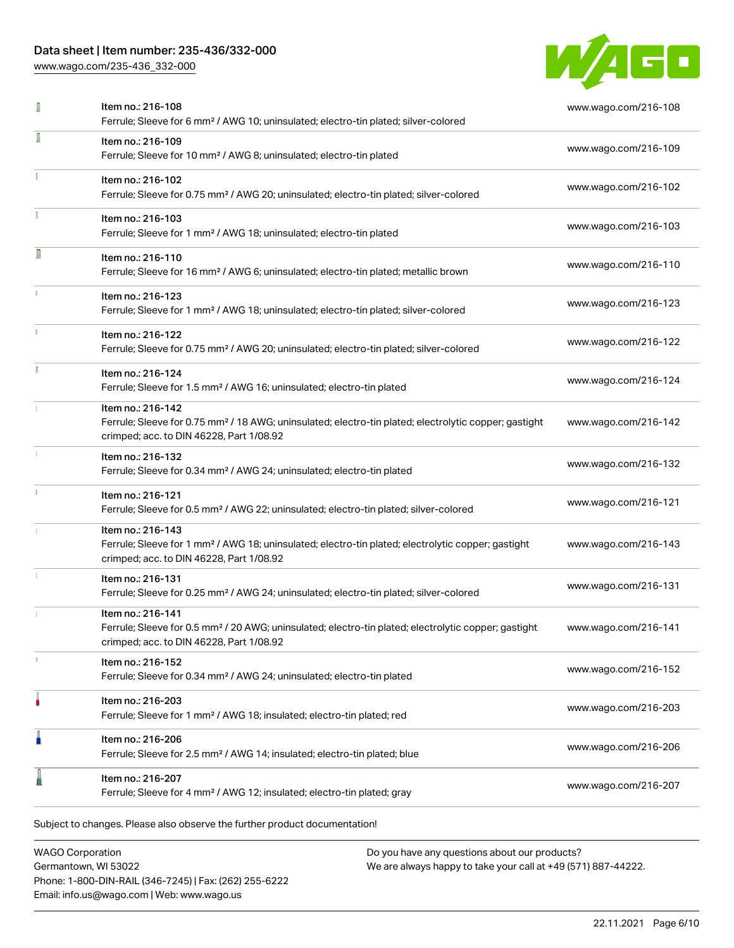[www.wago.com/235-436\\_332-000](http://www.wago.com/235-436_332-000)



| I | Item no.: 216-108<br>Ferrule; Sleeve for 6 mm <sup>2</sup> / AWG 10; uninsulated; electro-tin plated; silver-colored                                                               | www.wago.com/216-108 |
|---|------------------------------------------------------------------------------------------------------------------------------------------------------------------------------------|----------------------|
| I | Item no.: 216-109<br>Ferrule; Sleeve for 10 mm <sup>2</sup> / AWG 8; uninsulated; electro-tin plated                                                                               | www.wago.com/216-109 |
|   | Item no.: 216-102<br>Ferrule; Sleeve for 0.75 mm <sup>2</sup> / AWG 20; uninsulated; electro-tin plated; silver-colored                                                            | www.wago.com/216-102 |
|   | Item no.: 216-103<br>Ferrule; Sleeve for 1 mm <sup>2</sup> / AWG 18; uninsulated; electro-tin plated                                                                               | www.wago.com/216-103 |
| Π | Item no.: 216-110<br>Ferrule; Sleeve for 16 mm <sup>2</sup> / AWG 6; uninsulated; electro-tin plated; metallic brown                                                               | www.wago.com/216-110 |
|   | Item no.: 216-123<br>Ferrule; Sleeve for 1 mm <sup>2</sup> / AWG 18; uninsulated; electro-tin plated; silver-colored                                                               | www.wago.com/216-123 |
|   | Item no.: 216-122<br>Ferrule; Sleeve for 0.75 mm <sup>2</sup> / AWG 20; uninsulated; electro-tin plated; silver-colored                                                            | www.wago.com/216-122 |
|   | Item no.: 216-124<br>Ferrule; Sleeve for 1.5 mm <sup>2</sup> / AWG 16; uninsulated; electro-tin plated                                                                             | www.wago.com/216-124 |
|   | Item no.: 216-142<br>Ferrule; Sleeve for 0.75 mm <sup>2</sup> / 18 AWG; uninsulated; electro-tin plated; electrolytic copper; gastight<br>crimped; acc. to DIN 46228, Part 1/08.92 | www.wago.com/216-142 |
|   | Item no.: 216-132<br>Ferrule; Sleeve for 0.34 mm <sup>2</sup> / AWG 24; uninsulated; electro-tin plated                                                                            | www.wago.com/216-132 |
|   | Item no.: 216-121<br>Ferrule; Sleeve for 0.5 mm <sup>2</sup> / AWG 22; uninsulated; electro-tin plated; silver-colored                                                             | www.wago.com/216-121 |
|   | Item no.: 216-143<br>Ferrule; Sleeve for 1 mm <sup>2</sup> / AWG 18; uninsulated; electro-tin plated; electrolytic copper; gastight<br>crimped; acc. to DIN 46228, Part 1/08.92    | www.wago.com/216-143 |
|   | Item no.: 216-131<br>Ferrule; Sleeve for 0.25 mm <sup>2</sup> / AWG 24; uninsulated; electro-tin plated; silver-colored                                                            | www.wago.com/216-131 |
|   | Item no.: 216-141<br>Ferrule; Sleeve for 0.5 mm <sup>2</sup> / 20 AWG; uninsulated; electro-tin plated; electrolytic copper; gastight<br>crimped; acc. to DIN 46228, Part 1/08.92  | www.wago.com/216-141 |
|   | Item no.: 216-152<br>Ferrule; Sleeve for 0.34 mm <sup>2</sup> / AWG 24; uninsulated; electro-tin plated                                                                            | www.wago.com/216-152 |
|   | Item no.: 216-203<br>Ferrule; Sleeve for 1 mm <sup>2</sup> / AWG 18; insulated; electro-tin plated; red                                                                            | www.wago.com/216-203 |
| I | Item no.: 216-206<br>Ferrule; Sleeve for 2.5 mm <sup>2</sup> / AWG 14; insulated; electro-tin plated; blue                                                                         | www.wago.com/216-206 |
|   | Item no.: 216-207<br>Ferrule; Sleeve for 4 mm <sup>2</sup> / AWG 12; insulated; electro-tin plated; gray                                                                           | www.wago.com/216-207 |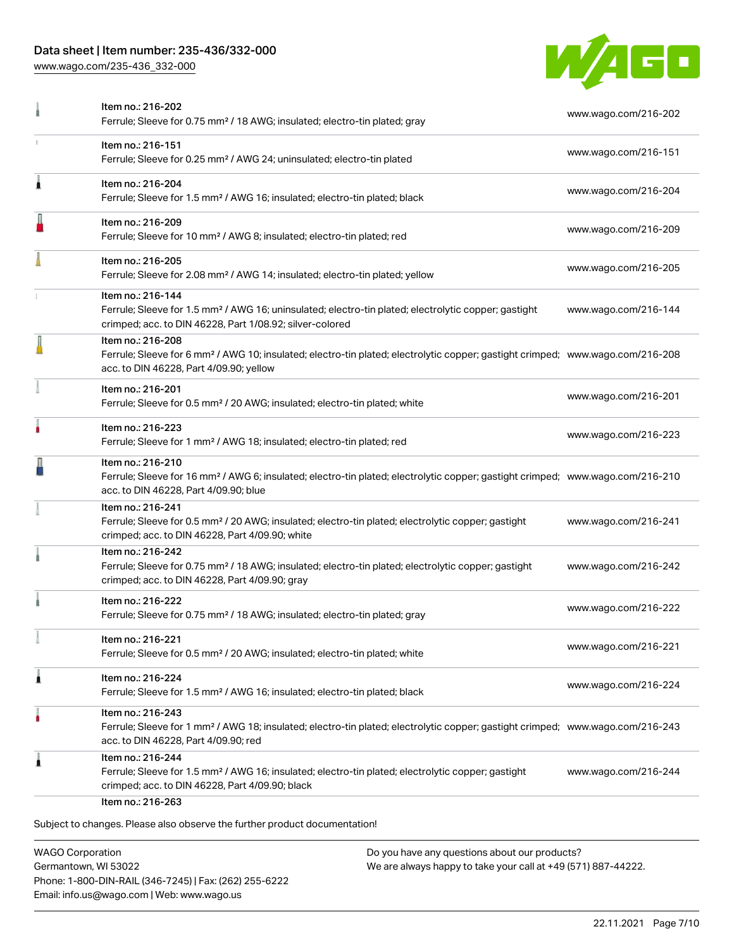[www.wago.com/235-436\\_332-000](http://www.wago.com/235-436_332-000)



| Item no.: 216-202<br>Ferrule; Sleeve for 0.75 mm <sup>2</sup> / 18 AWG; insulated; electro-tin plated; gray                                                                                                | www.wago.com/216-202 |
|------------------------------------------------------------------------------------------------------------------------------------------------------------------------------------------------------------|----------------------|
| Item no.: 216-151<br>Ferrule; Sleeve for 0.25 mm <sup>2</sup> / AWG 24; uninsulated; electro-tin plated                                                                                                    | www.wago.com/216-151 |
| Item no.: 216-204<br>Ferrule; Sleeve for 1.5 mm <sup>2</sup> / AWG 16; insulated; electro-tin plated; black                                                                                                | www.wago.com/216-204 |
| Item no.: 216-209<br>Ferrule; Sleeve for 10 mm <sup>2</sup> / AWG 8; insulated; electro-tin plated; red                                                                                                    | www.wago.com/216-209 |
| Item no.: 216-205<br>Ferrule; Sleeve for 2.08 mm <sup>2</sup> / AWG 14; insulated; electro-tin plated; yellow                                                                                              | www.wago.com/216-205 |
| Item no.: 216-144<br>Ferrule; Sleeve for 1.5 mm <sup>2</sup> / AWG 16; uninsulated; electro-tin plated; electrolytic copper; gastight<br>crimped; acc. to DIN 46228, Part 1/08.92; silver-colored          | www.wago.com/216-144 |
| Item no.: 216-208<br>Ferrule; Sleeve for 6 mm <sup>2</sup> / AWG 10; insulated; electro-tin plated; electrolytic copper; gastight crimped; www.wago.com/216-208<br>acc. to DIN 46228, Part 4/09.90; yellow |                      |
| Item no.: 216-201<br>Ferrule; Sleeve for 0.5 mm <sup>2</sup> / 20 AWG; insulated; electro-tin plated; white                                                                                                | www.wago.com/216-201 |
| Item no.: 216-223<br>Ferrule; Sleeve for 1 mm <sup>2</sup> / AWG 18; insulated; electro-tin plated; red                                                                                                    | www.wago.com/216-223 |
| Item no.: 216-210<br>Ferrule; Sleeve for 16 mm <sup>2</sup> / AWG 6; insulated; electro-tin plated; electrolytic copper; gastight crimped; www.wago.com/216-210<br>acc. to DIN 46228, Part 4/09.90; blue   |                      |
| Item no.: 216-241<br>Ferrule; Sleeve for 0.5 mm <sup>2</sup> / 20 AWG; insulated; electro-tin plated; electrolytic copper; gastight<br>crimped; acc. to DIN 46228, Part 4/09.90; white                     | www.wago.com/216-241 |
| Item no.: 216-242<br>Ferrule; Sleeve for 0.75 mm <sup>2</sup> / 18 AWG; insulated; electro-tin plated; electrolytic copper; gastight<br>crimped; acc. to DIN 46228, Part 4/09.90; gray                     | www.wago.com/216-242 |
| Item no.: 216-222<br>Ferrule; Sleeve for 0.75 mm <sup>2</sup> / 18 AWG; insulated; electro-tin plated; gray                                                                                                | www.wago.com/216-222 |
| Item no.: 216-221<br>Ferrule; Sleeve for 0.5 mm <sup>2</sup> / 20 AWG; insulated; electro-tin plated; white                                                                                                | www.wago.com/216-221 |
| Item no.: 216-224<br>Ferrule; Sleeve for 1.5 mm <sup>2</sup> / AWG 16; insulated; electro-tin plated; black                                                                                                | www.wago.com/216-224 |
| Item no.: 216-243<br>Ferrule; Sleeve for 1 mm <sup>2</sup> / AWG 18; insulated; electro-tin plated; electrolytic copper; gastight crimped; www.wago.com/216-243<br>acc. to DIN 46228, Part 4/09.90; red    |                      |
| Item no.: 216-244<br>Ferrule; Sleeve for 1.5 mm <sup>2</sup> / AWG 16; insulated; electro-tin plated; electrolytic copper; gastight<br>crimped; acc. to DIN 46228, Part 4/09.90; black                     | www.wago.com/216-244 |
|                                                                                                                                                                                                            |                      |

WAGO Corporation Germantown, WI 53022 Phone: 1-800-DIN-RAIL (346-7245) | Fax: (262) 255-6222 Email: info.us@wago.com | Web: www.wago.us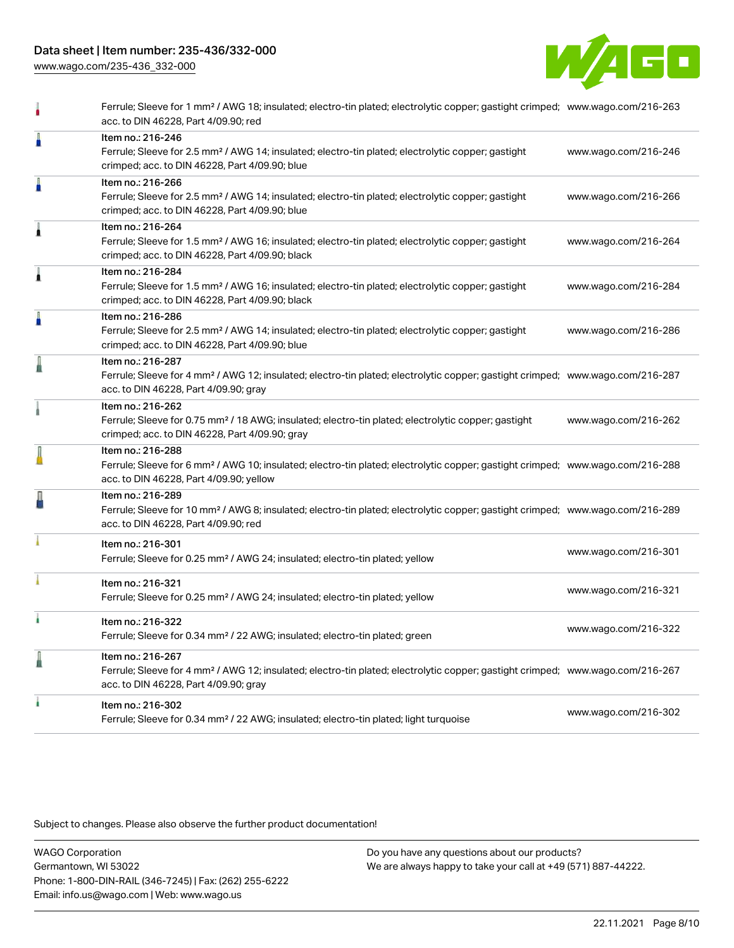[www.wago.com/235-436\\_332-000](http://www.wago.com/235-436_332-000)



|   | Ferrule; Sleeve for 1 mm <sup>2</sup> / AWG 18; insulated; electro-tin plated; electrolytic copper; gastight crimped; www.wago.com/216-263<br>acc. to DIN 46228, Part 4/09.90; red                         |                      |
|---|------------------------------------------------------------------------------------------------------------------------------------------------------------------------------------------------------------|----------------------|
| Å | Item no.: 216-246<br>Ferrule; Sleeve for 2.5 mm <sup>2</sup> / AWG 14; insulated; electro-tin plated; electrolytic copper; gastight<br>crimped; acc. to DIN 46228, Part 4/09.90; blue                      | www.wago.com/216-246 |
| Å | Item no.: 216-266<br>Ferrule; Sleeve for 2.5 mm <sup>2</sup> / AWG 14; insulated; electro-tin plated; electrolytic copper; gastight<br>crimped; acc. to DIN 46228, Part 4/09.90; blue                      | www.wago.com/216-266 |
| Â | Item no.: 216-264<br>Ferrule; Sleeve for 1.5 mm <sup>2</sup> / AWG 16; insulated; electro-tin plated; electrolytic copper; gastight<br>crimped; acc. to DIN 46228, Part 4/09.90; black                     | www.wago.com/216-264 |
| Â | Item no.: 216-284<br>Ferrule; Sleeve for 1.5 mm <sup>2</sup> / AWG 16; insulated; electro-tin plated; electrolytic copper; gastight<br>crimped; acc. to DIN 46228, Part 4/09.90; black                     | www.wago.com/216-284 |
| I | Item no.: 216-286<br>Ferrule; Sleeve for 2.5 mm <sup>2</sup> / AWG 14; insulated; electro-tin plated; electrolytic copper; gastight<br>crimped; acc. to DIN 46228, Part 4/09.90; blue                      | www.wago.com/216-286 |
| I | Item no.: 216-287<br>Ferrule; Sleeve for 4 mm <sup>2</sup> / AWG 12; insulated; electro-tin plated; electrolytic copper; gastight crimped; www.wago.com/216-287<br>acc. to DIN 46228, Part 4/09.90; gray   |                      |
|   | Item no.: 216-262<br>Ferrule; Sleeve for 0.75 mm <sup>2</sup> / 18 AWG; insulated; electro-tin plated; electrolytic copper; gastight<br>crimped; acc. to DIN 46228, Part 4/09.90; gray                     | www.wago.com/216-262 |
|   | Item no.: 216-288<br>Ferrule; Sleeve for 6 mm <sup>2</sup> / AWG 10; insulated; electro-tin plated; electrolytic copper; gastight crimped; www.wago.com/216-288<br>acc. to DIN 46228, Part 4/09.90; yellow |                      |
| ł | Item no.: 216-289<br>Ferrule; Sleeve for 10 mm <sup>2</sup> / AWG 8; insulated; electro-tin plated; electrolytic copper; gastight crimped; www.wago.com/216-289<br>acc. to DIN 46228, Part 4/09.90; red    |                      |
|   | Item no.: 216-301<br>Ferrule; Sleeve for 0.25 mm <sup>2</sup> / AWG 24; insulated; electro-tin plated; yellow                                                                                              | www.wago.com/216-301 |
|   | Item no.: 216-321<br>Ferrule; Sleeve for 0.25 mm <sup>2</sup> / AWG 24; insulated; electro-tin plated; yellow                                                                                              | www.wago.com/216-321 |
|   | Item no.: 216-322<br>Ferrule; Sleeve for 0.34 mm <sup>2</sup> / 22 AWG; insulated; electro-tin plated; green                                                                                               | www.wago.com/216-322 |
| l | Item no.: 216-267<br>Ferrule; Sleeve for 4 mm <sup>2</sup> / AWG 12; insulated; electro-tin plated; electrolytic copper; gastight crimped; www.wago.com/216-267<br>acc. to DIN 46228, Part 4/09.90; gray   |                      |
|   | Item no.: 216-302<br>Ferrule; Sleeve for 0.34 mm <sup>2</sup> / 22 AWG; insulated; electro-tin plated; light turquoise                                                                                     | www.wago.com/216-302 |
|   |                                                                                                                                                                                                            |                      |

Subject to changes. Please also observe the further product documentation!

WAGO Corporation Germantown, WI 53022 Phone: 1-800-DIN-RAIL (346-7245) | Fax: (262) 255-6222 Email: info.us@wago.com | Web: www.wago.us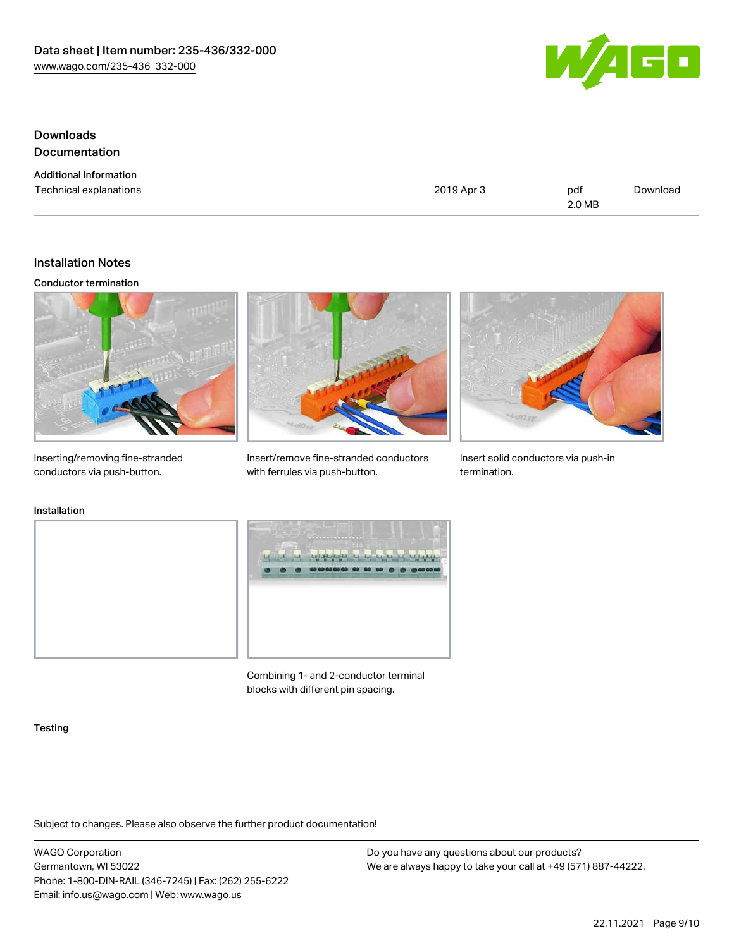

# Downloads Documentation

Additional Information

Technical explanations and political explanations and political explanations and political explanations of political explanations of political explanations of political explanations of political explanations of political e 2.0 MB [Download](https://www.wago.com/global/d/1435602)

### Installation Notes

#### Conductor termination



Inserting/removing fine-stranded conductors via push-button.



Insert/remove fine-stranded conductors with ferrules via push-button.



Insert solid conductors via push-in termination.

### Installation





Combining 1- and 2-conductor terminal blocks with different pin spacing.

#### **Testing**

Subject to changes. Please also observe the further product documentation!

WAGO Corporation Germantown, WI 53022 Phone: 1-800-DIN-RAIL (346-7245) | Fax: (262) 255-6222 Email: info.us@wago.com | Web: www.wago.us